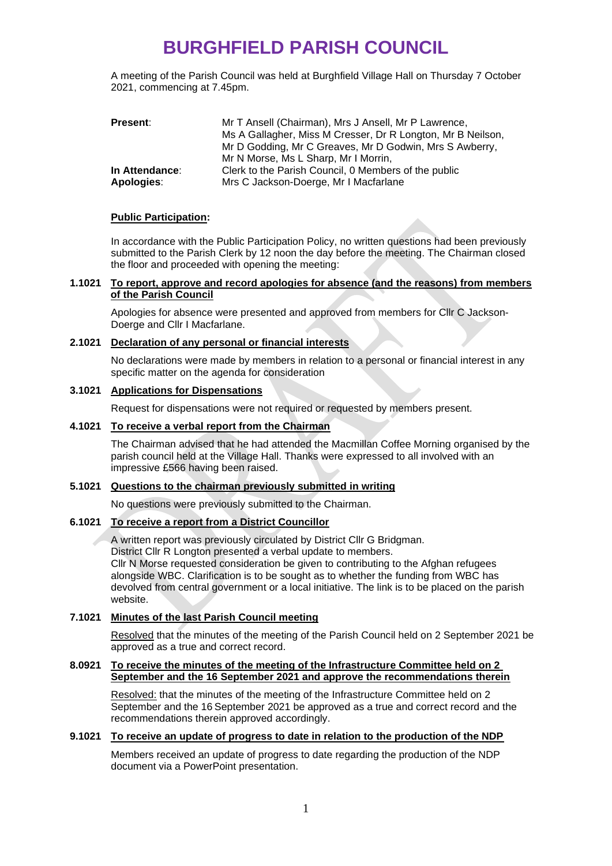# **BURGHFIELD PARISH COUNCIL**

A meeting of the Parish Council was held at Burghfield Village Hall on Thursday 7 October 2021, commencing at 7.45pm.

| <b>Present:</b> | Mr T Ansell (Chairman), Mrs J Ansell, Mr P Lawrence,        |  |
|-----------------|-------------------------------------------------------------|--|
|                 | Ms A Gallagher, Miss M Cresser, Dr R Longton, Mr B Neilson, |  |
|                 | Mr D Godding, Mr C Greaves, Mr D Godwin, Mrs S Awberry,     |  |
|                 | Mr N Morse, Ms L Sharp, Mr I Morrin,                        |  |
| In Attendance:  | Clerk to the Parish Council, 0 Members of the public        |  |
| Apologies:      | Mrs C Jackson-Doerge, Mr I Macfarlane                       |  |

#### **Public Participation:**

In accordance with the Public Participation Policy, no written questions had been previously submitted to the Parish Clerk by 12 noon the day before the meeting. The Chairman closed the floor and proceeded with opening the meeting:

#### **1.1021 To report, approve and record apologies for absence (and the reasons) from members of the Parish Council**

Apologies for absence were presented and approved from members for Cllr C Jackson-Doerge and Cllr I Macfarlane.

## **2.1021 Declaration of any personal or financial interests**

No declarations were made by members in relation to a personal or financial interest in any specific matter on the agenda for consideration

#### **3.1021 Applications for Dispensations**

Request for dispensations were not required or requested by members present.

### **4.1021 To receive a verbal report from the Chairman**

The Chairman advised that he had attended the Macmillan Coffee Morning organised by the parish council held at the Village Hall. Thanks were expressed to all involved with an impressive £566 having been raised.

#### **5.1021 Questions to the chairman previously submitted in writing**

No questions were previously submitted to the Chairman.

#### **6.1021 To receive a report from a District Councillor**

A written report was previously circulated by District Cllr G Bridgman. District Cllr R Longton presented a verbal update to members. Cllr N Morse requested consideration be given to contributing to the Afghan refugees alongside WBC. Clarification is to be sought as to whether the funding from WBC has

devolved from central government or a local initiative. The link is to be placed on the parish website.

## **7.1021 Minutes of the last Parish Council meeting**

Resolved that the minutes of the meeting of the Parish Council held on 2 September 2021 be approved as a true and correct record.

#### **8.0921 To receive the minutes of the meeting of the Infrastructure Committee held on 2 September and the 16 September 2021 and approve the recommendations therein**

Resolved: that the minutes of the meeting of the Infrastructure Committee held on 2 September and the 16 September 2021 be approved as a true and correct record and the recommendations therein approved accordingly.

# **9.1021 To receive an update of progress to date in relation to the production of the NDP**

Members received an update of progress to date regarding the production of the NDP document via a PowerPoint presentation.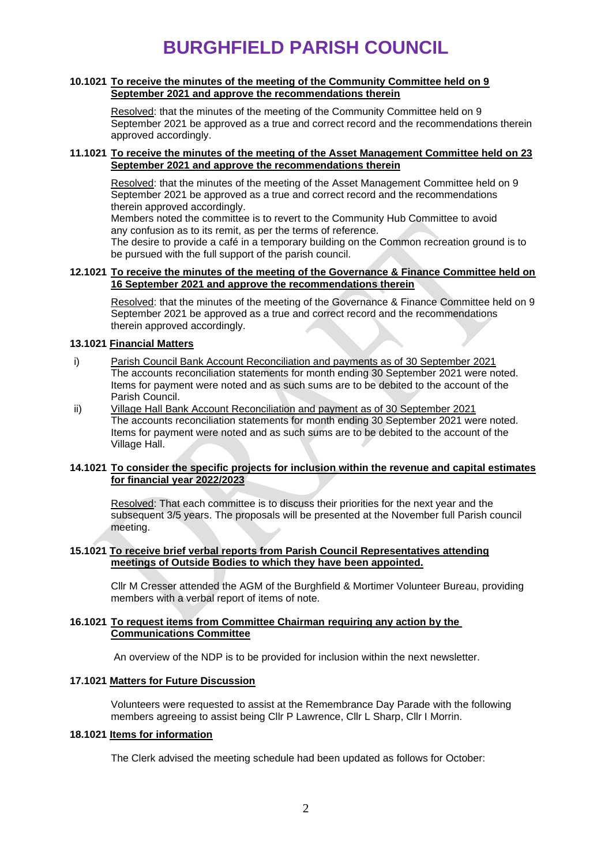# **BURGHFIELD PARISH COUNCIL**

#### **10.1021 To receive the minutes of the meeting of the Community Committee held on 9 September 2021 and approve the recommendations therein**

Resolved: that the minutes of the meeting of the Community Committee held on 9 September 2021 be approved as a true and correct record and the recommendations therein approved accordingly.

### **11.1021 To receive the minutes of the meeting of the Asset Management Committee held on 23 September 2021 and approve the recommendations therein**

Resolved: that the minutes of the meeting of the Asset Management Committee held on 9 September 2021 be approved as a true and correct record and the recommendations therein approved accordingly.

Members noted the committee is to revert to the Community Hub Committee to avoid any confusion as to its remit, as per the terms of reference.

The desire to provide a café in a temporary building on the Common recreation ground is to be pursued with the full support of the parish council.

### **12.1021 To receive the minutes of the meeting of the Governance & Finance Committee held on 16 September 2021 and approve the recommendations therein**

Resolved: that the minutes of the meeting of the Governance & Finance Committee held on 9 September 2021 be approved as a true and correct record and the recommendations therein approved accordingly.

## **13.1021 Financial Matters**

- i) Parish Council Bank Account Reconciliation and payments as of 30 September 2021 The accounts reconciliation statements for month ending 30 September 2021 were noted. Items for payment were noted and as such sums are to be debited to the account of the Parish Council.
- ii) Village Hall Bank Account Reconciliation and payment as of 30 September 2021 The accounts reconciliation statements for month ending 30 September 2021 were noted. Items for payment were noted and as such sums are to be debited to the account of the Village Hall.

## **14.1021 To consider the specific projects for inclusion within the revenue and capital estimates for financial year 2022/2023**

Resolved: That each committee is to discuss their priorities for the next year and the subsequent 3/5 years. The proposals will be presented at the November full Parish council meeting.

#### **15.1021 To receive brief verbal reports from Parish Council Representatives attending meetings of Outside Bodies to which they have been appointed.**

Cllr M Cresser attended the AGM of the Burghfield & Mortimer Volunteer Bureau, providing members with a verbal report of items of note.

#### **16.1021 To request items from Committee Chairman requiring any action by the Communications Committee**

An overview of the NDP is to be provided for inclusion within the next newsletter.

## **17.1021 Matters for Future Discussion**

Volunteers were requested to assist at the Remembrance Day Parade with the following members agreeing to assist being Cllr P Lawrence, Cllr L Sharp, Cllr I Morrin.

# **18.1021 Items for information**

The Clerk advised the meeting schedule had been updated as follows for October: